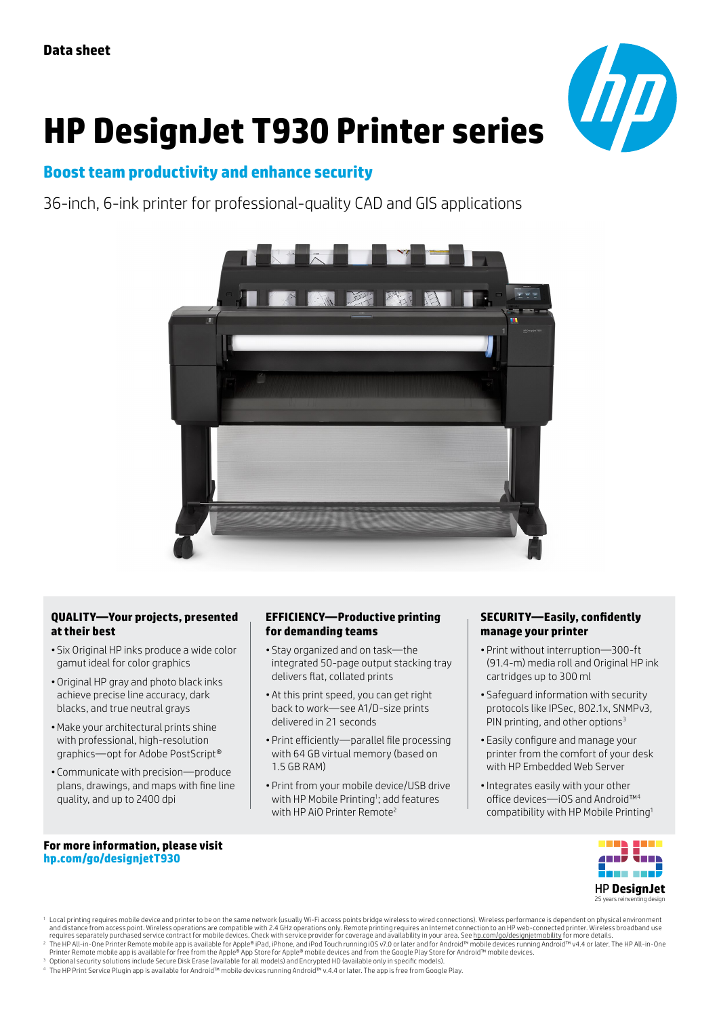

# **HP DesignJet T930 Printer series**

## **Boost team productivity and enhance security**

36-inch, 6-ink printer for professional-quality CAD and GIS applications



#### **QUALITY—Your projects, presented at their best**

- Six Original HP inks produce a wide color gamut ideal for color graphics
- Original HP gray and photo black inks achieve precise line accuracy, dark blacks, and true neutral grays
- •Make your architectural prints shine with professional, high-resolution graphics—opt for Adobe PostScript®
- Communicate with precision—produce plans, drawings, and maps with fine line quality, and up to 2400 dpi

#### **EFFICIENCY—Productive printing for demanding teams**

- Stay organized and on task—the integrated 50-page output stacking tray delivers flat, collated prints
- At this print speed, you can get right back to work—see A1/D-size prints delivered in 21 seconds
- Print efficiently—parallel file processing with 64 GB virtual memory (based on 1.5 GB RAM)
- Print from your mobile device/USB drive with HP Mobile Printing<sup>1</sup>; add features with HP AiO Printer Remote<sup>2</sup>

#### **SECURITY—Easily, confidently manage your printer**

- Print without interruption—300-ft (91.4-m) media roll and Original HP ink cartridges up to 300 ml
- Safeguard information with security protocols like IPSec, 802.1x, SNMPv3, PIN printing, and other options<sup>3</sup>
- Easily configure and manage your printer from the comfort of your desk with HP Embedded Web Server
- •Integrates easily with your other office devices—iOS and Android™<sup>4</sup> compatibility with HP Mobile Printing1

#### **For more information, please visit [hp.com/go/designjetT930](http://www.hp.com/go/DesignjetT930)**



l Local printing requires mobile device and printer to be on the same network (usually Wi-Fi access points bridge wireless to wired connections). Wireless performance is dependent on physical environment of the same differ

<sup>3</sup> Optional security solutions include Secure Disk Erase (available for all models) and Encrypted HD (available only in specific models).<br><sup>4</sup> The HP Print Service Plugin app is available for Android™ mobile devices runni

<sup>&</sup>lt;sup>2</sup> The HP All-in-One Printer Remote mobile app is available for Apple® iPad, iPhone, and iPod Touch running iOS v7.0 or later and for Android™ mobile devices running Android™ v4.4 or later. The HP All-in-One<br>Printer Remo